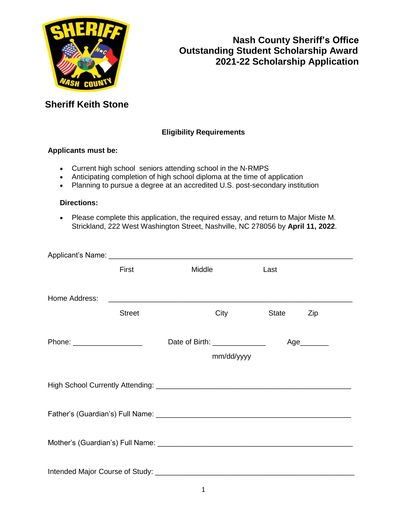

### **Eligibility Requirements**

#### **Applicants must be:**

- Current high school seniors attending school in the N-RMPS
- Anticipating completion of high school diploma at the time of application
- Planning to pursue a degree at an accredited U.S. post-secondary institution

#### **Directions:**

 Please complete this application, the required essay, and return to Major Miste M. Strickland, 222 West Washington Street, Nashville, NC 278056 by **April 11, 2022**.

|                                                                                                                                                                                                                                | First         | Middle                         | Last  |     |
|--------------------------------------------------------------------------------------------------------------------------------------------------------------------------------------------------------------------------------|---------------|--------------------------------|-------|-----|
| Home Address:                                                                                                                                                                                                                  |               |                                |       |     |
|                                                                                                                                                                                                                                | <b>Street</b> | City                           | State | Zip |
| Phone: ____________________                                                                                                                                                                                                    |               | Date of Birth: _______________ |       | Age |
|                                                                                                                                                                                                                                |               | mm/dd/yyyy                     |       |     |
|                                                                                                                                                                                                                                |               |                                |       |     |
| Father's (Guardian's) Full Name: Manual According to the Control of Table 1.1 (1994) 1996.                                                                                                                                     |               |                                |       |     |
|                                                                                                                                                                                                                                |               |                                |       |     |
| Intended Major Course of Study: Network and Study and Study and Study and Study and Study and Study and Study and Study and Study and Study and Study and Study and Study and Study and Study and Study and Study and Study an |               |                                |       |     |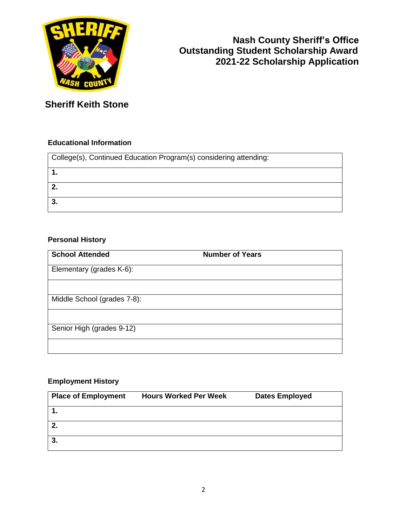

### **Educational Information**

| College(s), Continued Education Program(s) considering attending: |
|-------------------------------------------------------------------|
|                                                                   |
| $^{\circ}$ 2.                                                     |
| 3 <sub>1</sub>                                                    |

### **Personal History**

| <b>School Attended</b>      | <b>Number of Years</b> |  |
|-----------------------------|------------------------|--|
| Elementary (grades K-6):    |                        |  |
|                             |                        |  |
| Middle School (grades 7-8): |                        |  |
|                             |                        |  |
| Senior High (grades 9-12)   |                        |  |
|                             |                        |  |

### **Employment History**

| <b>Place of Employment</b> | <b>Hours Worked Per Week</b> | <b>Dates Employed</b> |
|----------------------------|------------------------------|-----------------------|
|                            |                              |                       |
| 2.                         |                              |                       |
| 3.                         |                              |                       |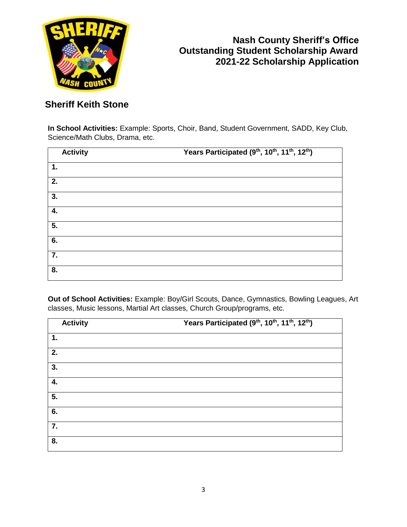

**In School Activities:** Example: Sports, Choir, Band, Student Government, SADD, Key Club, Science/Math Clubs, Drama, etc.

| <b>Activity</b> | Years Participated (9 <sup>th</sup> , 10 <sup>th</sup> , 11 <sup>th</sup> , 12 <sup>th</sup> ) |
|-----------------|------------------------------------------------------------------------------------------------|
| 1.              |                                                                                                |
| 2.              |                                                                                                |
| 3.              |                                                                                                |
| 4.              |                                                                                                |
| 5.              |                                                                                                |
| 6.              |                                                                                                |
| 7.              |                                                                                                |
| 8.              |                                                                                                |

**Out of School Activities:** Example: Boy/Girl Scouts, Dance, Gymnastics, Bowling Leagues, Art classes, Music lessons, Martial Art classes, Church Group/programs, etc.

| <b>Activity</b> | Years Participated (9 <sup>th</sup> , 10 <sup>th</sup> , 11 <sup>th</sup> , 12 <sup>th</sup> ) |
|-----------------|------------------------------------------------------------------------------------------------|
| 1.              |                                                                                                |
| 2.              |                                                                                                |
| 3.              |                                                                                                |
| 4.              |                                                                                                |
| 5.              |                                                                                                |
| 6.              |                                                                                                |
| 7.              |                                                                                                |
| 8.              |                                                                                                |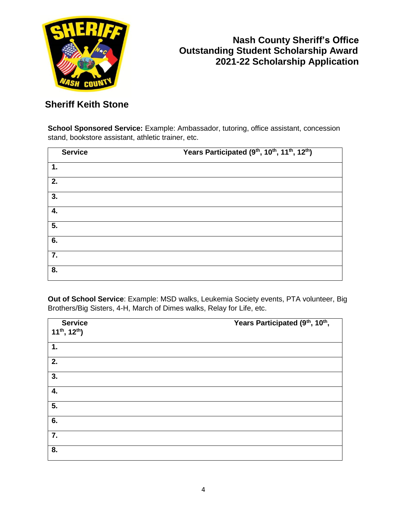

**School Sponsored Service:** Example: Ambassador, tutoring, office assistant, concession stand, bookstore assistant, athletic trainer, etc.

| <b>Service</b> | Years Participated (9 <sup>th</sup> , 10 <sup>th</sup> , 11 <sup>th</sup> , 12 <sup>th</sup> ) |
|----------------|------------------------------------------------------------------------------------------------|
| 1.             |                                                                                                |
| 2.             |                                                                                                |
| 3.             |                                                                                                |
| 4.             |                                                                                                |
| 5.             |                                                                                                |
| 6.             |                                                                                                |
| 7.             |                                                                                                |
| 8.             |                                                                                                |

**Out of School Service**: Example: MSD walks, Leukemia Society events, PTA volunteer, Big Brothers/Big Sisters, 4-H, March of Dimes walks, Relay for Life, etc.

| <b>Service</b><br>$11^{th}$ , $12^{th}$ ) | Years Participated (9th, 10th, |
|-------------------------------------------|--------------------------------|
| 1.                                        |                                |
| 2.                                        |                                |
| 3.                                        |                                |
| 4.                                        |                                |
| $\overline{5}$ .                          |                                |
| 6.                                        |                                |
| 7.                                        |                                |
| 8.                                        |                                |